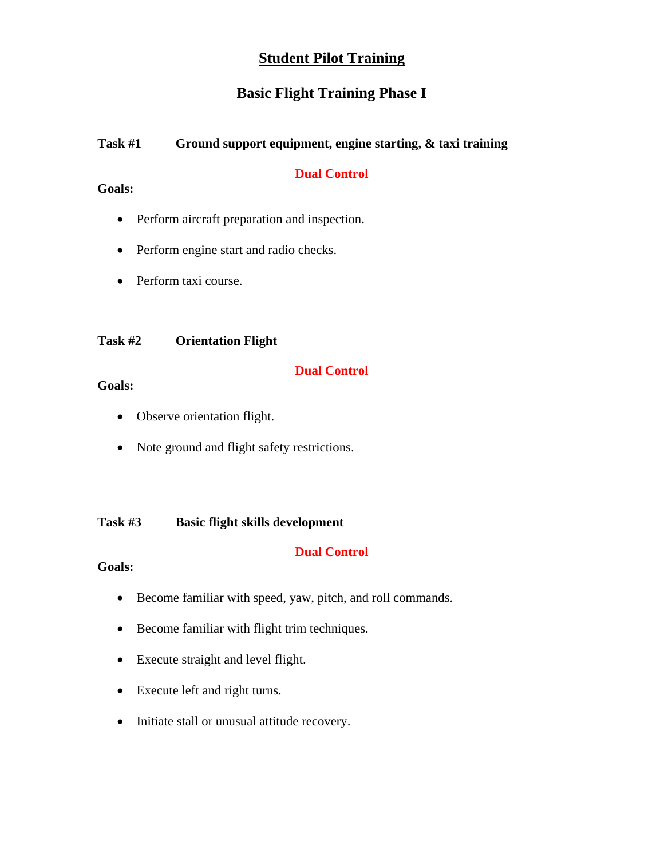# **Student Pilot Training**

# **Basic Flight Training Phase I**

# **Task #1 Ground support equipment, engine starting, & taxi training**

# **Dual Control**

# **Goals:**

- Perform aircraft preparation and inspection.
- Perform engine start and radio checks.
- Perform taxi course.

# **Task #2 Orientation Flight**

# **Dual Control**

# **Goals:**

- Observe orientation flight.
- Note ground and flight safety restrictions.

# **Task #3 Basic flight skills development**

# **Dual Control**

- Become familiar with speed, yaw, pitch, and roll commands.
- Become familiar with flight trim techniques.
- Execute straight and level flight.
- Execute left and right turns.
- Initiate stall or unusual attitude recovery.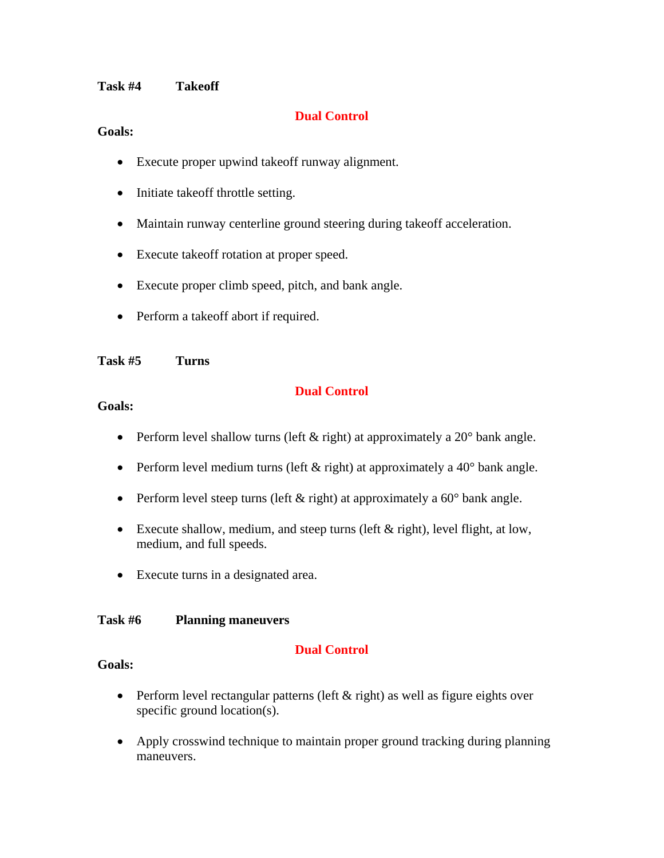## **Task #4 Takeoff**

## **Dual Control**

## **Goals:**

- Execute proper upwind takeoff runway alignment.
- Initiate takeoff throttle setting.
- Maintain runway centerline ground steering during takeoff acceleration.
- Execute takeoff rotation at proper speed.
- Execute proper climb speed, pitch, and bank angle.
- Perform a takeoff abort if required.

## **Task #5 Turns**

## **Dual Control**

#### **Goals:**

- Perform level shallow turns (left  $&$  right) at approximately a 20 $^{\circ}$  bank angle.
- Perform level medium turns (left  $&$  right) at approximately a 40 $^{\circ}$  bank angle.
- Perform level steep turns (left & right) at approximately a 60° bank angle.
- Execute shallow, medium, and steep turns (left & right), level flight, at low, medium, and full speeds.
- Execute turns in a designated area.

## **Task #6 Planning maneuvers**

## **Dual Control**

- Perform level rectangular patterns (left  $&$  right) as well as figure eights over specific ground location(s).
- Apply crosswind technique to maintain proper ground tracking during planning maneuvers.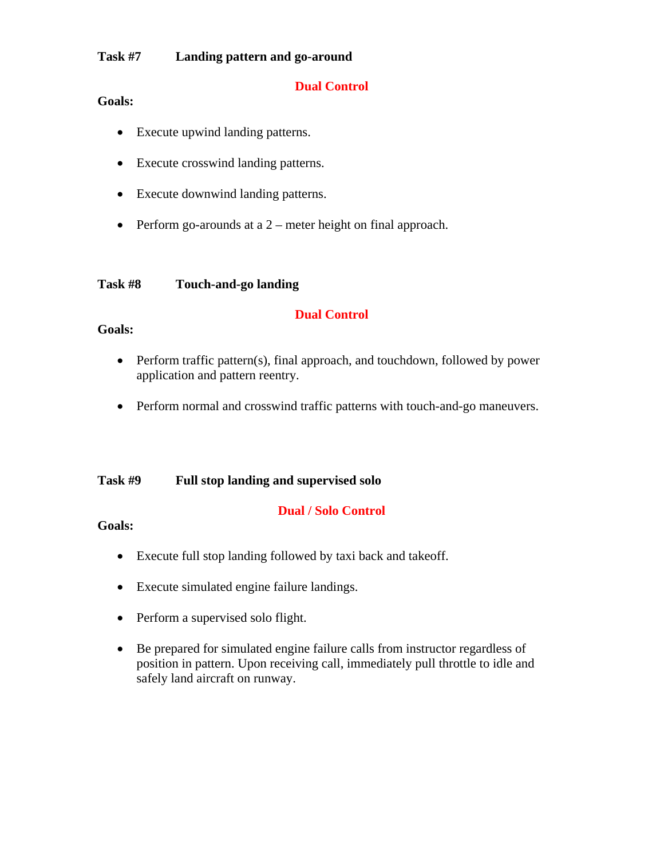# **Task #7 Landing pattern and go-around**

# **Dual Control**

# **Goals:**

- Execute upwind landing patterns.
- Execute crosswind landing patterns.
- Execute downwind landing patterns.
- Perform go-arounds at a 2 meter height on final approach.

## **Task #8 Touch-and-go landing**

# **Dual Control**

# **Goals:**

- Perform traffic pattern(s), final approach, and touchdown, followed by power application and pattern reentry.
- Perform normal and crosswind traffic patterns with touch-and-go maneuvers.

# **Task #9 Full stop landing and supervised solo**

# **Dual / Solo Control**

- Execute full stop landing followed by taxi back and takeoff.
- Execute simulated engine failure landings.
- Perform a supervised solo flight.
- Be prepared for simulated engine failure calls from instructor regardless of position in pattern. Upon receiving call, immediately pull throttle to idle and safely land aircraft on runway.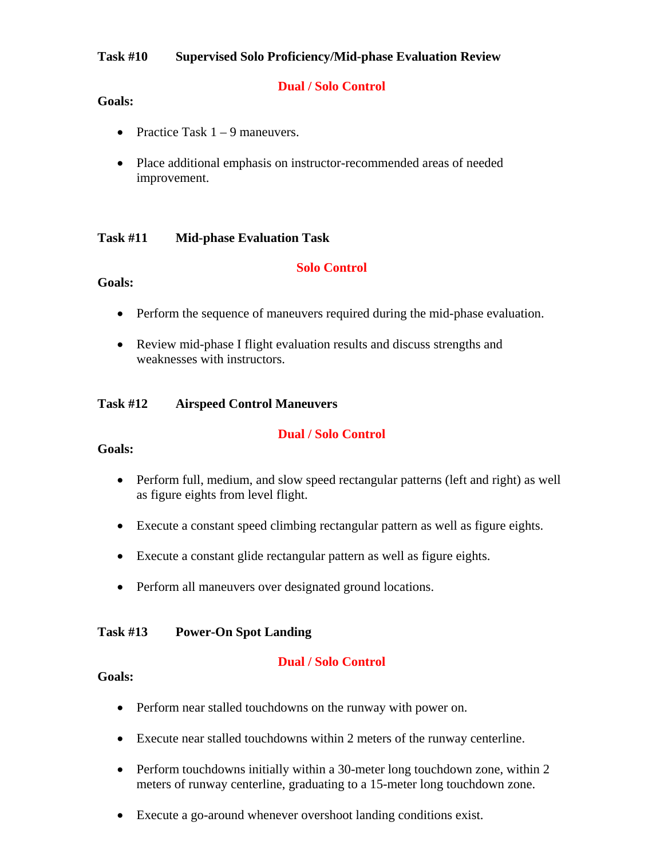# **Task #10 Supervised Solo Proficiency/Mid-phase Evaluation Review**

# **Dual / Solo Control**

## **Goals:**

- Practice Task  $1 9$  maneuvers.
- Place additional emphasis on instructor-recommended areas of needed improvement.

## **Task #11 Mid-phase Evaluation Task**

## **Solo Control**

## **Goals:**

- Perform the sequence of maneuvers required during the mid-phase evaluation.
- Review mid-phase I flight evaluation results and discuss strengths and weaknesses with instructors.

## **Task #12 Airspeed Control Maneuvers**

## **Dual / Solo Control**

## **Goals:**

- Perform full, medium, and slow speed rectangular patterns (left and right) as well as figure eights from level flight.
- Execute a constant speed climbing rectangular pattern as well as figure eights.
- Execute a constant glide rectangular pattern as well as figure eights.
- Perform all maneuvers over designated ground locations.

## **Task #13 Power-On Spot Landing**

## **Dual / Solo Control**

- Perform near stalled touchdowns on the runway with power on.
- Execute near stalled touchdowns within 2 meters of the runway centerline.
- Perform touchdowns initially within a 30-meter long touchdown zone, within 2 meters of runway centerline, graduating to a 15-meter long touchdown zone.
- Execute a go-around whenever overshoot landing conditions exist.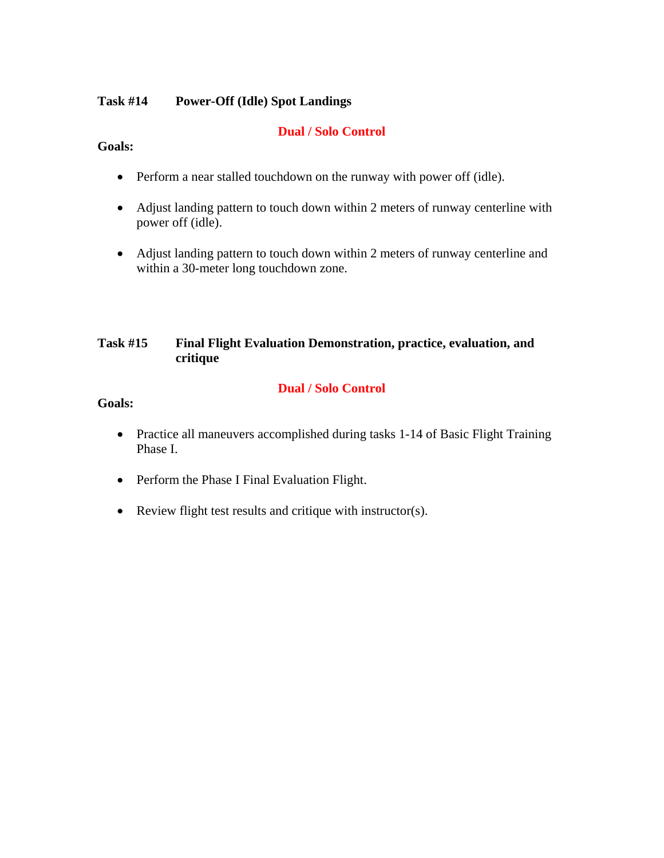# **Task #14 Power-Off (Idle) Spot Landings**

# **Dual / Solo Control**

## **Goals:**

- Perform a near stalled touchdown on the runway with power off (idle).
- Adjust landing pattern to touch down within 2 meters of runway centerline with power off (idle).
- Adjust landing pattern to touch down within 2 meters of runway centerline and within a 30-meter long touchdown zone.

# **Task #15 Final Flight Evaluation Demonstration, practice, evaluation, and critique**

# **Dual / Solo Control**

- Practice all maneuvers accomplished during tasks 1-14 of Basic Flight Training Phase I.
- Perform the Phase I Final Evaluation Flight.
- Review flight test results and critique with instructor(s).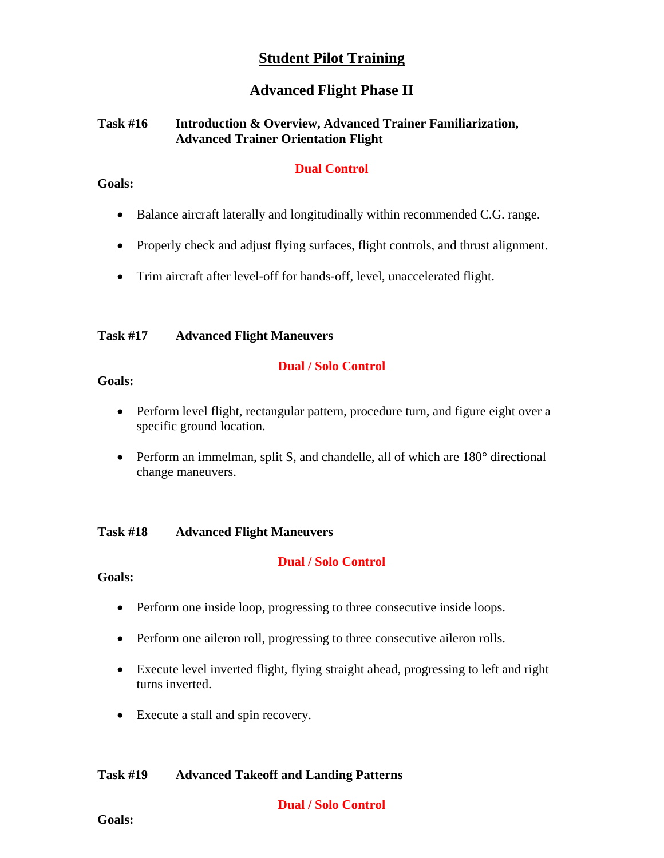# **Student Pilot Training**

# **Advanced Flight Phase II**

# **Task #16 Introduction & Overview, Advanced Trainer Familiarization, Advanced Trainer Orientation Flight**

# **Dual Control**

## **Goals:**

- Balance aircraft laterally and longitudinally within recommended C.G. range.
- Properly check and adjust flying surfaces, flight controls, and thrust alignment.
- Trim aircraft after level-off for hands-off, level, unaccelerated flight.

# **Task #17 Advanced Flight Maneuvers**

# **Dual / Solo Control**

# **Goals:**

- Perform level flight, rectangular pattern, procedure turn, and figure eight over a specific ground location.
- Perform an immelman, split S, and chandelle, all of which are 180° directional change maneuvers.

# **Task #18 Advanced Flight Maneuvers**

# **Dual / Solo Control**

# **Goals:**

- Perform one inside loop, progressing to three consecutive inside loops.
- Perform one aileron roll, progressing to three consecutive aileron rolls.
- Execute level inverted flight, flying straight ahead, progressing to left and right turns inverted.
- Execute a stall and spin recovery.

# **Task #19 Advanced Takeoff and Landing Patterns**

**Dual / Solo Control**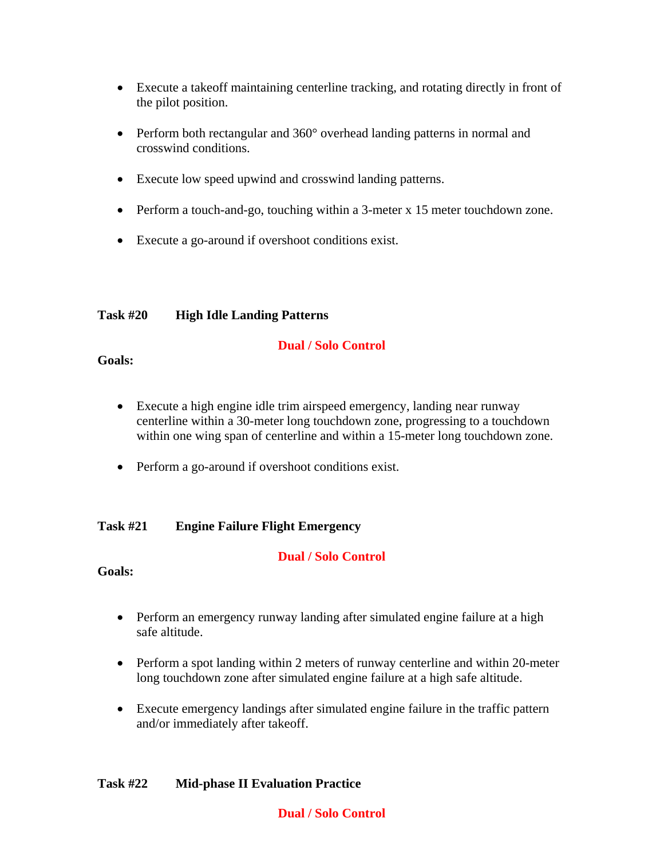- Execute a takeoff maintaining centerline tracking, and rotating directly in front of the pilot position.
- Perform both rectangular and 360° overhead landing patterns in normal and crosswind conditions.
- Execute low speed upwind and crosswind landing patterns.
- Perform a touch-and-go, touching within a 3-meter x 15 meter touchdown zone.
- Execute a go-around if overshoot conditions exist.

# **Task #20 High Idle Landing Patterns**

# **Dual / Solo Control**

## **Goals:**

- Execute a high engine idle trim airspeed emergency, landing near runway centerline within a 30-meter long touchdown zone, progressing to a touchdown within one wing span of centerline and within a 15-meter long touchdown zone.
- Perform a go-around if overshoot conditions exist.

# **Task #21 Engine Failure Flight Emergency**

# **Dual / Solo Control**

**Goals:** 

- Perform an emergency runway landing after simulated engine failure at a high safe altitude.
- Perform a spot landing within 2 meters of runway centerline and within 20-meter long touchdown zone after simulated engine failure at a high safe altitude.
- Execute emergency landings after simulated engine failure in the traffic pattern and/or immediately after takeoff.

# **Task #22 Mid-phase II Evaluation Practice**

# **Dual / Solo Control**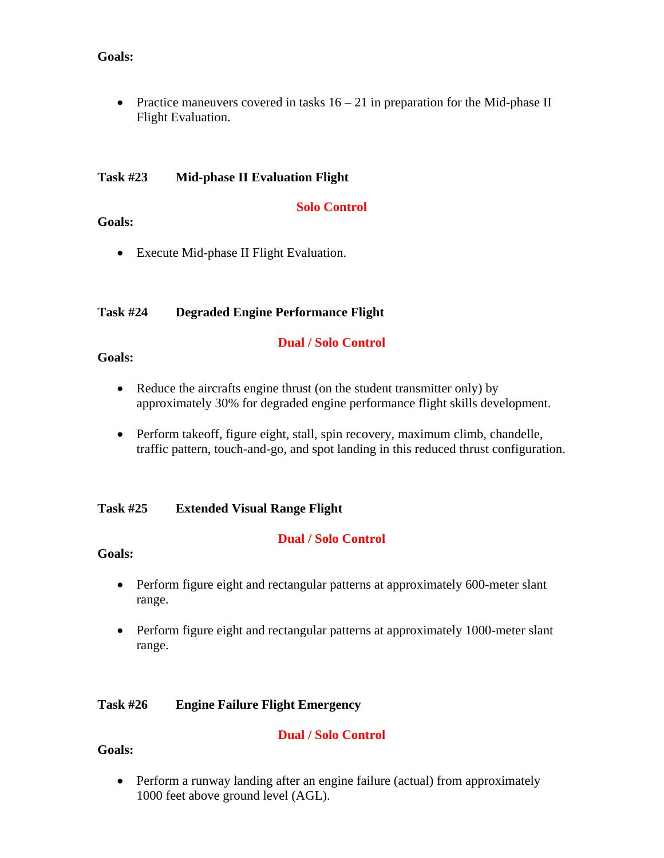## **Goals:**

• Practice maneuvers covered in tasks  $16 - 21$  in preparation for the Mid-phase II Flight Evaluation.

## **Task #23 Mid-phase II Evaluation Flight**

## **Solo Control**

## **Goals:**

**Goals:** 

• Execute Mid-phase II Flight Evaluation.

# **Task #24 Degraded Engine Performance Flight**

• Reduce the aircrafts engine thrust (on the student transmitter only) by approximately 30% for degraded engine performance flight skills development.

**Dual / Solo Control** 

• Perform takeoff, figure eight, stall, spin recovery, maximum climb, chandelle, traffic pattern, touch-and-go, and spot landing in this reduced thrust configuration.

# **Task #25 Extended Visual Range Flight**

# **Dual / Solo Control**

# **Goals:**

- Perform figure eight and rectangular patterns at approximately 600-meter slant range.
- Perform figure eight and rectangular patterns at approximately 1000-meter slant range.

# **Task #26 Engine Failure Flight Emergency**

# **Dual / Solo Control**

# **Goals:**

• Perform a runway landing after an engine failure (actual) from approximately 1000 feet above ground level (AGL).